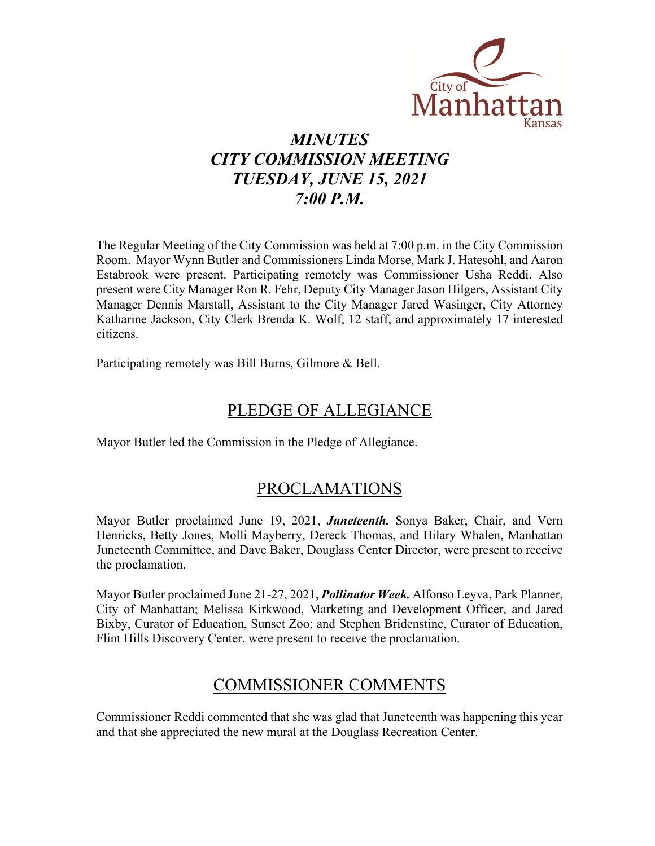

# *MINUTES CITY COMMISSION MEETING TUESDAY, JUNE 15, 2021 7:00 P.M.*

The Regular Meeting of the City Commission was held at 7:00 p.m. in the City Commission Room. Mayor Wynn Butler and Commissioners Linda Morse, Mark J. Hatesohl, and Aaron Estabrook were present. Participating remotely was Commissioner Usha Reddi. Also present were City Manager Ron R. Fehr, Deputy City Manager Jason Hilgers, Assistant City Manager Dennis Marstall, Assistant to the City Manager Jared Wasinger, City Attorney Katharine Jackson, City Clerk Brenda K. Wolf, 12 staff, and approximately 17 interested citizens.

Participating remotely was Bill Burns, Gilmore & Bell.

# PLEDGE OF ALLEGIANCE

Mayor Butler led the Commission in the Pledge of Allegiance.

### PROCLAMATIONS

Mayor Butler proclaimed June 19, 2021, *Juneteenth.* Sonya Baker, Chair, and Vern Henricks, Betty Jones, Molli Mayberry, Dereck Thomas, and Hilary Whalen, Manhattan Juneteenth Committee, and Dave Baker, Douglass Center Director, were present to receive the proclamation.

Mayor Butler proclaimed June 21-27, 2021, *Pollinator Week.* Alfonso Leyva, Park Planner, City of Manhattan; Melissa Kirkwood, Marketing and Development Officer, and Jared Bixby, Curator of Education, Sunset Zoo; and Stephen Bridenstine, Curator of Education, Flint Hills Discovery Center, were present to receive the proclamation.

### COMMISSIONER COMMENTS

Commissioner Reddi commented that she was glad that Juneteenth was happening this year and that she appreciated the new mural at the Douglass Recreation Center.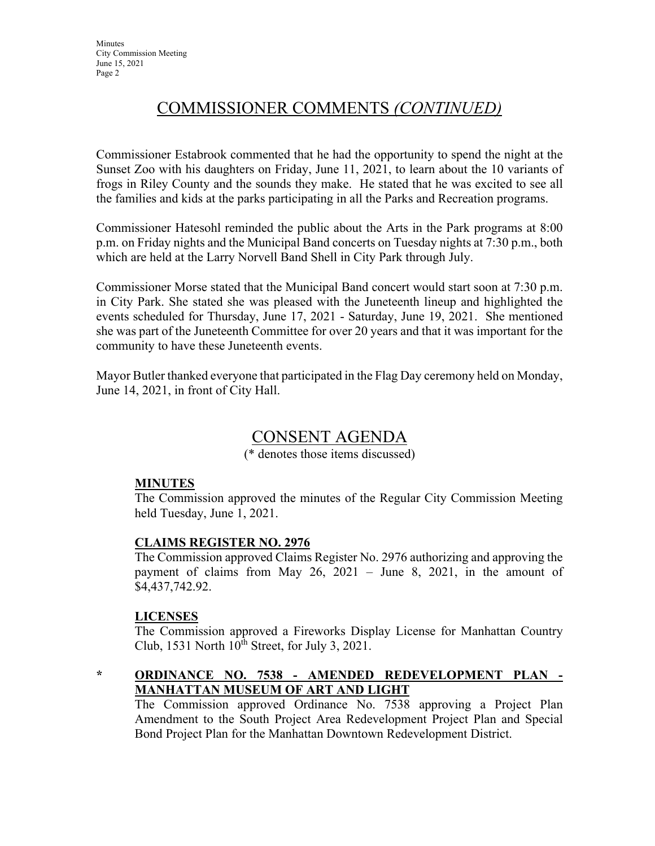# COMMISSIONER COMMENTS *(CONTINUED)*

Commissioner Estabrook commented that he had the opportunity to spend the night at the Sunset Zoo with his daughters on Friday, June 11, 2021, to learn about the 10 variants of frogs in Riley County and the sounds they make. He stated that he was excited to see all the families and kids at the parks participating in all the Parks and Recreation programs.

Commissioner Hatesohl reminded the public about the Arts in the Park programs at 8:00 p.m. on Friday nights and the Municipal Band concerts on Tuesday nights at 7:30 p.m., both which are held at the Larry Norvell Band Shell in City Park through July.

Commissioner Morse stated that the Municipal Band concert would start soon at 7:30 p.m. in City Park. She stated she was pleased with the Juneteenth lineup and highlighted the events scheduled for Thursday, June 17, 2021 - Saturday, June 19, 2021. She mentioned she was part of the Juneteenth Committee for over 20 years and that it was important for the community to have these Juneteenth events.

Mayor Butler thanked everyone that participated in the Flag Day ceremony held on Monday, June 14, 2021, in front of City Hall.

### CONSENT AGENDA

(\* denotes those items discussed)

#### **MINUTES**

The Commission approved the minutes of the Regular City Commission Meeting held Tuesday, June 1, 2021.

#### **CLAIMS REGISTER NO. 2976**

The Commission approved Claims Register No. 2976 authorizing and approving the payment of claims from May 26, 2021 – June 8, 2021, in the amount of \$4,437,742.92.

#### **LICENSES**

The Commission approved a Fireworks Display License for Manhattan Country Club, 1531 North  $10^{th}$  Street, for July 3, 2021.

#### **\* ORDINANCE NO. 7538 - AMENDED REDEVELOPMENT PLAN - MANHATTAN MUSEUM OF ART AND LIGHT**

The Commission approved Ordinance No. 7538 approving a Project Plan Amendment to the South Project Area Redevelopment Project Plan and Special Bond Project Plan for the Manhattan Downtown Redevelopment District.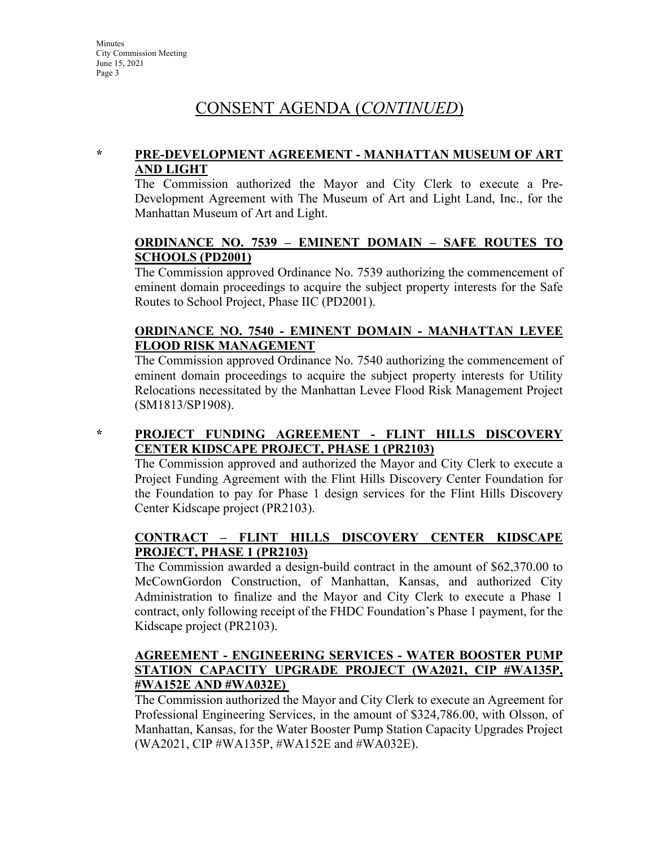## CONSENT AGENDA (*CONTINUED*)

#### **\* PRE-DEVELOPMENT AGREEMENT - MANHATTAN MUSEUM OF ART AND LIGHT**

The Commission authorized the Mayor and City Clerk to execute a Pre-Development Agreement with The Museum of Art and Light Land, Inc., for the Manhattan Museum of Art and Light.

#### **ORDINANCE NO. 7539 – EMINENT DOMAIN – SAFE ROUTES TO SCHOOLS (PD2001)**

The Commission approved Ordinance No. 7539 authorizing the commencement of eminent domain proceedings to acquire the subject property interests for the Safe Routes to School Project, Phase IIC (PD2001).

#### **ORDINANCE NO. 7540 - EMINENT DOMAIN - MANHATTAN LEVEE FLOOD RISK MANAGEMENT**

The Commission approved Ordinance No. 7540 authorizing the commencement of eminent domain proceedings to acquire the subject property interests for Utility Relocations necessitated by the Manhattan Levee Flood Risk Management Project (SM1813/SP1908).

#### **\* PROJECT FUNDING AGREEMENT - FLINT HILLS DISCOVERY CENTER KIDSCAPE PROJECT, PHASE 1 (PR2103)**

The Commission approved and authorized the Mayor and City Clerk to execute a Project Funding Agreement with the Flint Hills Discovery Center Foundation for the Foundation to pay for Phase 1 design services for the Flint Hills Discovery Center Kidscape project (PR2103).

#### **CONTRACT – FLINT HILLS DISCOVERY CENTER KIDSCAPE PROJECT, PHASE 1 (PR2103)**

The Commission awarded a design-build contract in the amount of \$62,370.00 to McCownGordon Construction, of Manhattan, Kansas, and authorized City Administration to finalize and the Mayor and City Clerk to execute a Phase 1 contract, only following receipt of the FHDC Foundation's Phase 1 payment, for the Kidscape project (PR2103).

#### **AGREEMENT - ENGINEERING SERVICES - WATER BOOSTER PUMP STATION CAPACITY UPGRADE PROJECT (WA2021, CIP #WA135P, #WA152E AND #WA032E)**

The Commission authorized the Mayor and City Clerk to execute an Agreement for Professional Engineering Services, in the amount of \$324,786.00, with Olsson, of Manhattan, Kansas, for the Water Booster Pump Station Capacity Upgrades Project (WA2021, CIP #WA135P, #WA152E and #WA032E).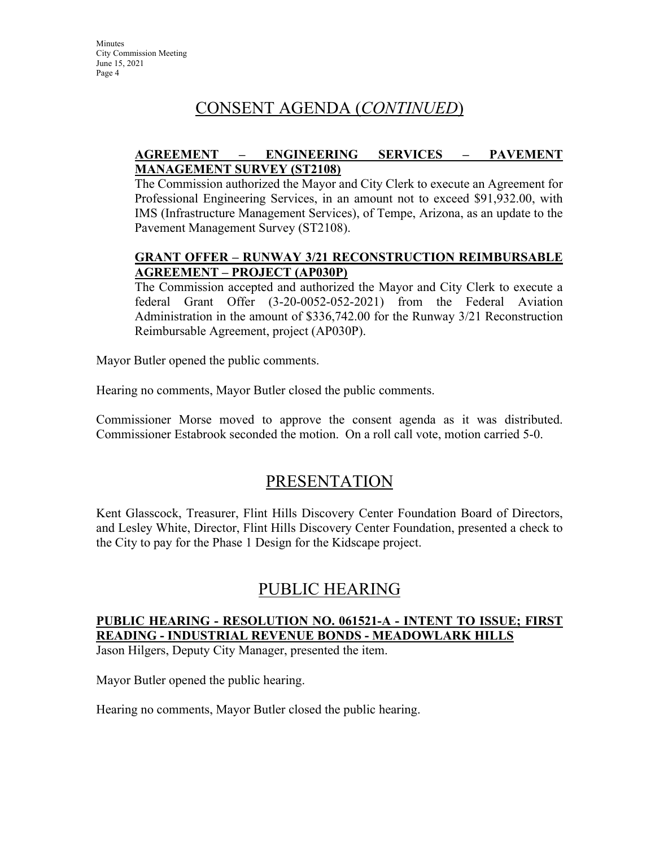# CONSENT AGENDA (*CONTINUED*)

#### **AGREEMENT – ENGINEERING SERVICES – PAVEMENT MANAGEMENT SURVEY (ST2108)**

The Commission authorized the Mayor and City Clerk to execute an Agreement for Professional Engineering Services, in an amount not to exceed \$91,932.00, with IMS (Infrastructure Management Services), of Tempe, Arizona, as an update to the Pavement Management Survey (ST2108).

#### **GRANT OFFER – RUNWAY 3/21 RECONSTRUCTION REIMBURSABLE AGREEMENT – PROJECT (AP030P)**

The Commission accepted and authorized the Mayor and City Clerk to execute a federal Grant Offer (3-20-0052-052-2021) from the Federal Aviation Administration in the amount of \$336,742.00 for the Runway 3/21 Reconstruction Reimbursable Agreement, project (AP030P).

Mayor Butler opened the public comments.

Hearing no comments, Mayor Butler closed the public comments.

Commissioner Morse moved to approve the consent agenda as it was distributed. Commissioner Estabrook seconded the motion. On a roll call vote, motion carried 5-0.

### PRESENTATION

Kent Glasscock, Treasurer, Flint Hills Discovery Center Foundation Board of Directors, and Lesley White, Director, Flint Hills Discovery Center Foundation, presented a check to the City to pay for the Phase 1 Design for the Kidscape project.

### PUBLIC HEARING

### **PUBLIC HEARING - RESOLUTION NO. 061521-A - INTENT TO ISSUE; FIRST READING - INDUSTRIAL REVENUE BONDS - MEADOWLARK HILLS**

Jason Hilgers, Deputy City Manager, presented the item.

Mayor Butler opened the public hearing.

Hearing no comments, Mayor Butler closed the public hearing.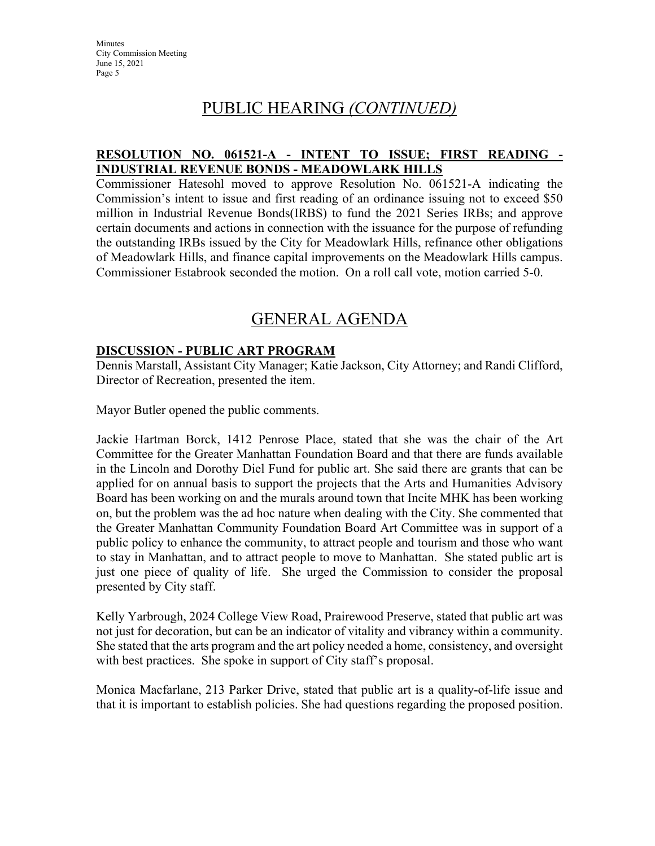**Minutes** City Commission Meeting June 15, 2021 Page 5

### PUBLIC HEARING *(CONTINUED)*

#### **RESOLUTION NO. 061521-A - INTENT TO ISSUE; FIRST READING - INDUSTRIAL REVENUE BONDS - MEADOWLARK HILLS**

Commissioner Hatesohl moved to approve Resolution No. 061521-A indicating the Commission's intent to issue and first reading of an ordinance issuing not to exceed \$50 million in Industrial Revenue Bonds(IRBS) to fund the 2021 Series IRBs; and approve certain documents and actions in connection with the issuance for the purpose of refunding the outstanding IRBs issued by the City for Meadowlark Hills, refinance other obligations of Meadowlark Hills, and finance capital improvements on the Meadowlark Hills campus. Commissioner Estabrook seconded the motion. On a roll call vote, motion carried 5-0.

## GENERAL AGENDA

#### **DISCUSSION - PUBLIC ART PROGRAM**

Dennis Marstall, Assistant City Manager; Katie Jackson, City Attorney; and Randi Clifford, Director of Recreation, presented the item.

Mayor Butler opened the public comments.

Jackie Hartman Borck, 1412 Penrose Place, stated that she was the chair of the Art Committee for the Greater Manhattan Foundation Board and that there are funds available in the Lincoln and Dorothy Diel Fund for public art. She said there are grants that can be applied for on annual basis to support the projects that the Arts and Humanities Advisory Board has been working on and the murals around town that Incite MHK has been working on, but the problem was the ad hoc nature when dealing with the City. She commented that the Greater Manhattan Community Foundation Board Art Committee was in support of a public policy to enhance the community, to attract people and tourism and those who want to stay in Manhattan, and to attract people to move to Manhattan. She stated public art is just one piece of quality of life. She urged the Commission to consider the proposal presented by City staff.

Kelly Yarbrough, 2024 College View Road, Prairewood Preserve, stated that public art was not just for decoration, but can be an indicator of vitality and vibrancy within a community. She stated that the arts program and the art policy needed a home, consistency, and oversight with best practices. She spoke in support of City staff's proposal.

Monica Macfarlane, 213 Parker Drive, stated that public art is a quality-of-life issue and that it is important to establish policies. She had questions regarding the proposed position.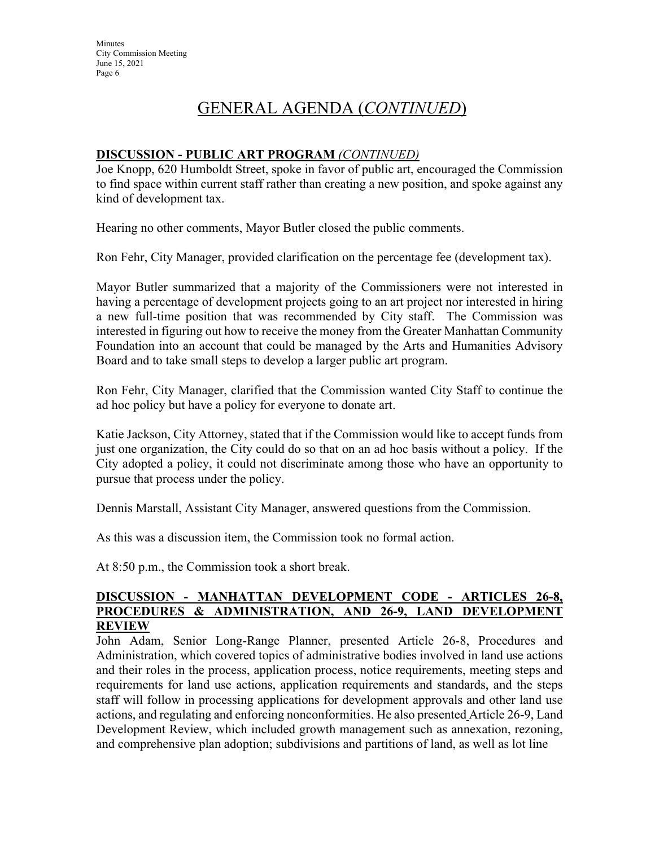# GENERAL AGENDA (*CONTINUED*)

#### **DISCUSSION - PUBLIC ART PROGRAM** *(CONTINUED)*

Joe Knopp, 620 Humboldt Street, spoke in favor of public art, encouraged the Commission to find space within current staff rather than creating a new position, and spoke against any kind of development tax.

Hearing no other comments, Mayor Butler closed the public comments.

Ron Fehr, City Manager, provided clarification on the percentage fee (development tax).

Mayor Butler summarized that a majority of the Commissioners were not interested in having a percentage of development projects going to an art project nor interested in hiring a new full-time position that was recommended by City staff. The Commission was interested in figuring out how to receive the money from the Greater Manhattan Community Foundation into an account that could be managed by the Arts and Humanities Advisory Board and to take small steps to develop a larger public art program.

Ron Fehr, City Manager, clarified that the Commission wanted City Staff to continue the ad hoc policy but have a policy for everyone to donate art.

Katie Jackson, City Attorney, stated that if the Commission would like to accept funds from just one organization, the City could do so that on an ad hoc basis without a policy. If the City adopted a policy, it could not discriminate among those who have an opportunity to pursue that process under the policy.

Dennis Marstall, Assistant City Manager, answered questions from the Commission.

As this was a discussion item, the Commission took no formal action.

At 8:50 p.m., the Commission took a short break.

#### **DISCUSSION - MANHATTAN DEVELOPMENT CODE - ARTICLES 26-8, PROCEDURES & ADMINISTRATION, AND 26-9, LAND DEVELOPMENT REVIEW**

John Adam, Senior Long-Range Planner, presented Article 26-8, Procedures and Administration, which covered topics of administrative bodies involved in land use actions and their roles in the process, application process, notice requirements, meeting steps and requirements for land use actions, application requirements and standards, and the steps staff will follow in processing applications for development approvals and other land use actions, and regulating and enforcing nonconformities. He also presented Article 26-9, Land Development Review, which included growth management such as annexation, rezoning, and comprehensive plan adoption; subdivisions and partitions of land, as well as lot line